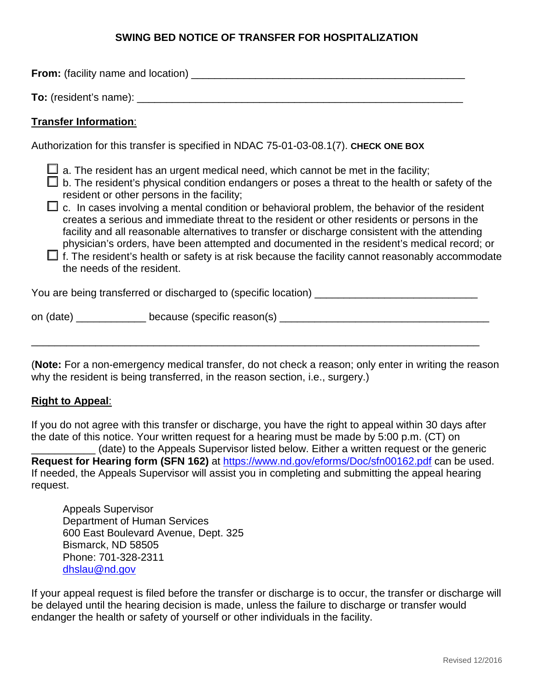# **SWING BED NOTICE OF TRANSFER FOR HOSPITALIZATION**

**From:** (facility name and location) **Example 2018 To:** (resident's name): \_\_\_\_\_\_\_\_\_\_\_\_\_\_\_\_\_\_\_\_\_\_\_\_\_\_\_\_\_\_\_\_\_\_\_\_\_\_\_\_\_\_\_\_\_\_\_\_\_\_\_\_\_\_\_\_

# **Transfer Information**:

Authorization for this transfer is specified in NDAC 75-01-03-08.1(7). **CHECK ONE BOX**

 $\Box$  a. The resident has an urgent medical need, which cannot be met in the facility;

 $\Box$  b. The resident's physical condition endangers or poses a threat to the health or safety of the resident or other persons in the facility;

 $\Box$  c. In cases involving a mental condition or behavioral problem, the behavior of the resident creates a serious and immediate threat to the resident or other residents or persons in the facility and all reasonable alternatives to transfer or discharge consistent with the attending physician's orders, have been attempted and documented in the resident's medical record; or

 $\Box$  f. The resident's health or safety is at risk because the facility cannot reasonably accommodate the needs of the resident.

You are being transferred or discharged to (specific location)

on (date) example because (specific reason(s) and date of the state of the state of the state of the state of the state of the state of the state of the state of the state of the state of the state of the state of the stat

\_\_\_\_\_\_\_\_\_\_\_\_\_\_\_\_\_\_\_\_\_\_\_\_\_\_\_\_\_\_\_\_\_\_\_\_\_\_\_\_\_\_\_\_\_\_\_\_\_\_\_\_\_\_\_\_\_\_\_\_\_\_\_\_\_\_\_\_\_\_\_\_\_\_\_\_\_

(**Note:** For a non-emergency medical transfer, do not check a reason; only enter in writing the reason why the resident is being transferred, in the reason section, i.e., surgery.)

### **Right to Appeal**:

If you do not agree with this transfer or discharge, you have the right to appeal within 30 days after the date of this notice. Your written request for a hearing must be made by 5:00 p.m. (CT) on

\_\_\_\_\_\_\_\_\_\_\_ (date) to the Appeals Supervisor listed below. Either a written request or the generic **Request for Hearing form (SFN 162)** at <https://www.nd.gov/eforms/Doc/sfn00162.pdf> can be used. If needed, the Appeals Supervisor will assist you in completing and submitting the appeal hearing request.

 Appeals Supervisor Department of Human Services 600 East Boulevard Avenue, Dept. 325 Bismarck, ND 58505 Phone: 701-328-2311 [dhslau@nd.gov](mailto:dhslau@nd.gov) 

If your appeal request is filed before the transfer or discharge is to occur, the transfer or discharge will be delayed until the hearing decision is made, unless the failure to discharge or transfer would endanger the health or safety of yourself or other individuals in the facility.